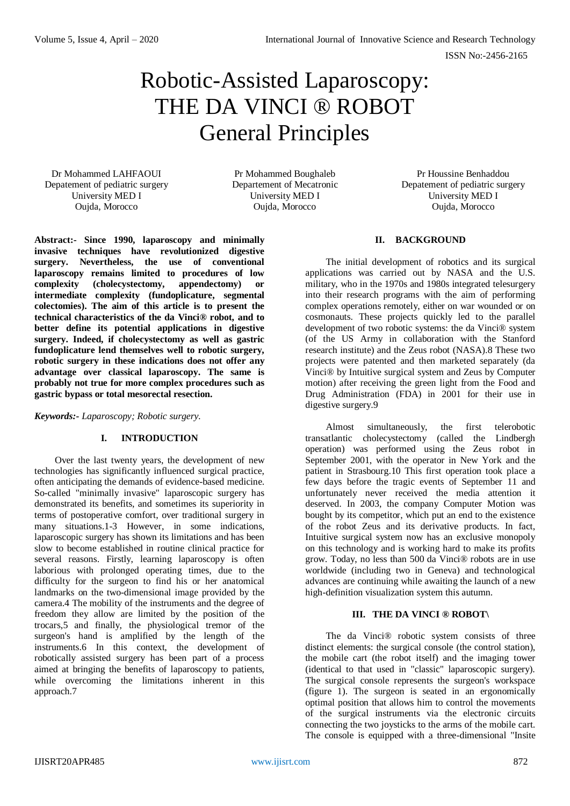# Robotic-Assisted Laparoscopy: THE DA VINCI ® ROBOT General Principles

Dr Mohammed LAHFAOUI Depatement of pediatric surgery University MED I Oujda, Morocco

Pr Mohammed Boughaleb Departement of Mecatronic University MED I Oujda, Morocco

Pr Houssine Benhaddou Depatement of pediatric surgery University MED I Oujda, Morocco

### **Abstract:- Since 1990, laparoscopy and minimally invasive techniques have revolutionized digestive surgery. Nevertheless, the use of conventional laparoscopy remains limited to procedures of low complexity (cholecystectomy, appendectomy) or intermediate complexity (fundoplicature, segmental colectomies). The aim of this article is to present the technical characteristics of the da Vinci® robot, and to better define its potential applications in digestive surgery. Indeed, if cholecystectomy as well as gastric fundoplicature lend themselves well to robotic surgery, robotic surgery in these indications does not offer any advantage over classical laparoscopy. The same is probably not true for more complex procedures such as gastric bypass or total mesorectal resection.**

*Keywords:- Laparoscopy; Robotic surgery.*

## **I. INTRODUCTION**

Over the last twenty years, the development of new technologies has significantly influenced surgical practice, often anticipating the demands of evidence-based medicine. So-called "minimally invasive" laparoscopic surgery has demonstrated its benefits, and sometimes its superiority in terms of postoperative comfort, over traditional surgery in many situations.1-3 However, in some indications, laparoscopic surgery has shown its limitations and has been slow to become established in routine clinical practice for several reasons. Firstly, learning laparoscopy is often laborious with prolonged operating times, due to the difficulty for the surgeon to find his or her anatomical landmarks on the two-dimensional image provided by the camera.4 The mobility of the instruments and the degree of freedom they allow are limited by the position of the trocars,5 and finally, the physiological tremor of the surgeon's hand is amplified by the length of the instruments.6 In this context, the development of robotically assisted surgery has been part of a process aimed at bringing the benefits of laparoscopy to patients, while overcoming the limitations inherent in this approach.7

## **II. BACKGROUND**

The initial development of robotics and its surgical applications was carried out by NASA and the U.S. military, who in the 1970s and 1980s integrated telesurgery into their research programs with the aim of performing complex operations remotely, either on war wounded or on cosmonauts. These projects quickly led to the parallel development of two robotic systems: the da Vinci® system (of the US Army in collaboration with the Stanford research institute) and the Zeus robot (NASA).8 These two projects were patented and then marketed separately (da Vinci® by Intuitive surgical system and Zeus by Computer motion) after receiving the green light from the Food and Drug Administration (FDA) in 2001 for their use in digestive surgery.9

Almost simultaneously, the first telerobotic transatlantic cholecystectomy (called the Lindbergh operation) was performed using the Zeus robot in September 2001, with the operator in New York and the patient in Strasbourg.10 This first operation took place a few days before the tragic events of September 11 and unfortunately never received the media attention it deserved. In 2003, the company Computer Motion was bought by its competitor, which put an end to the existence of the robot Zeus and its derivative products. In fact, Intuitive surgical system now has an exclusive monopoly on this technology and is working hard to make its profits grow. Today, no less than 500 da Vinci® robots are in use worldwide (including two in Geneva) and technological advances are continuing while awaiting the launch of a new high-definition visualization system this autumn.

## **III. THE DA VINCI ® ROBOT\**

The da Vinci® robotic system consists of three distinct elements: the surgical console (the control station), the mobile cart (the robot itself) and the imaging tower (identical to that used in "classic" laparoscopic surgery). The surgical console represents the surgeon's workspace (figure 1). The surgeon is seated in an ergonomically optimal position that allows him to control the movements of the surgical instruments via the electronic circuits connecting the two joysticks to the arms of the mobile cart. The console is equipped with a three-dimensional "Insite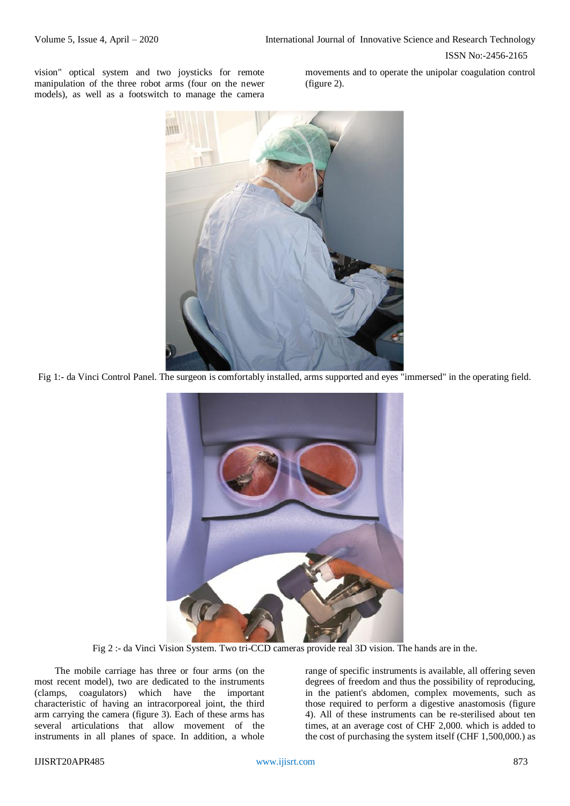ISSN No:-2456-2165

vision" optical system and two joysticks for remote manipulation of the three robot arms (four on the newer models), as well as a footswitch to manage the camera

movements and to operate the unipolar coagulation control (figure 2).



Fig 1:- da Vinci Control Panel. The surgeon is comfortably installed, arms supported and eyes "immersed" in the operating field.



Fig 2 :- da Vinci Vision System. Two tri-CCD cameras provide real 3D vision. The hands are in the.

The mobile carriage has three or four arms (on the most recent model), two are dedicated to the instruments (clamps, coagulators) which have the important characteristic of having an intracorporeal joint, the third arm carrying the camera (figure 3). Each of these arms has several articulations that allow movement of the instruments in all planes of space. In addition, a whole

range of specific instruments is available, all offering seven degrees of freedom and thus the possibility of reproducing, in the patient's abdomen, complex movements, such as those required to perform a digestive anastomosis (figure 4). All of these instruments can be re-sterilised about ten times, at an average cost of CHF 2,000. which is added to the cost of purchasing the system itself (CHF 1,500,000.) as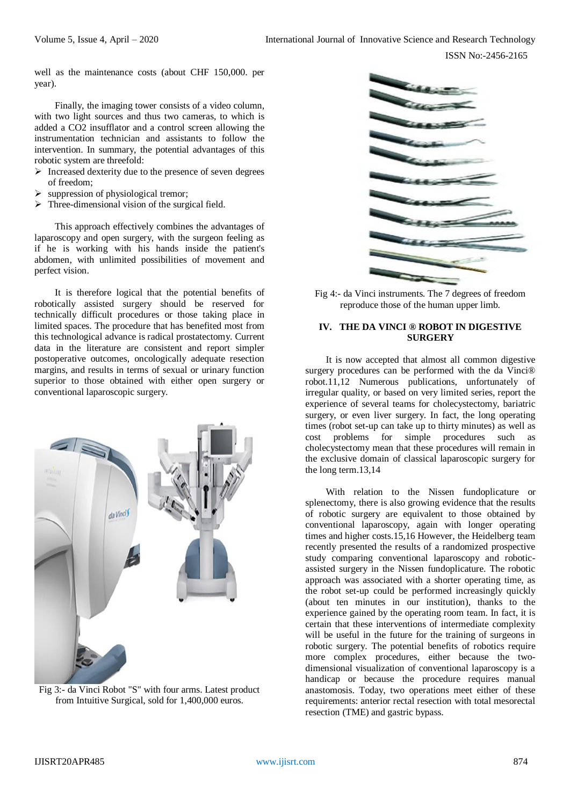well as the maintenance costs (about CHF 150,000. per year).

Finally, the imaging tower consists of a video column, with two light sources and thus two cameras, to which is added a CO2 insufflator and a control screen allowing the instrumentation technician and assistants to follow the intervention. In summary, the potential advantages of this robotic system are threefold:

- $\triangleright$  Increased dexterity due to the presence of seven degrees of freedom;
- suppression of physiological tremor;
- Three-dimensional vision of the surgical field.

This approach effectively combines the advantages of laparoscopy and open surgery, with the surgeon feeling as if he is working with his hands inside the patient's abdomen, with unlimited possibilities of movement and perfect vision.

It is therefore logical that the potential benefits of robotically assisted surgery should be reserved for technically difficult procedures or those taking place in limited spaces. The procedure that has benefited most from this technological advance is radical prostatectomy. Current data in the literature are consistent and report simpler postoperative outcomes, oncologically adequate resection margins, and results in terms of sexual or urinary function superior to those obtained with either open surgery or conventional laparoscopic surgery.



Fig 3:- da Vinci Robot "S" with four arms. Latest product from Intuitive Surgical, sold for 1,400,000 euros.



Fig 4:- da Vinci instruments. The 7 degrees of freedom reproduce those of the human upper limb.

### **IV. THE DA VINCI ® ROBOT IN DIGESTIVE SURGERY**

It is now accepted that almost all common digestive surgery procedures can be performed with the da Vinci® robot.11,12 Numerous publications, unfortunately of irregular quality, or based on very limited series, report the experience of several teams for cholecystectomy, bariatric surgery, or even liver surgery. In fact, the long operating times (robot set-up can take up to thirty minutes) as well as cost problems for simple procedures such as cholecystectomy mean that these procedures will remain in the exclusive domain of classical laparoscopic surgery for the long term.13,14

With relation to the Nissen fundoplicature or splenectomy, there is also growing evidence that the results of robotic surgery are equivalent to those obtained by conventional laparoscopy, again with longer operating times and higher costs.15,16 However, the Heidelberg team recently presented the results of a randomized prospective study comparing conventional laparoscopy and roboticassisted surgery in the Nissen fundoplicature. The robotic approach was associated with a shorter operating time, as the robot set-up could be performed increasingly quickly (about ten minutes in our institution), thanks to the experience gained by the operating room team. In fact, it is certain that these interventions of intermediate complexity will be useful in the future for the training of surgeons in robotic surgery. The potential benefits of robotics require more complex procedures, either because the twodimensional visualization of conventional laparoscopy is a handicap or because the procedure requires manual anastomosis. Today, two operations meet either of these requirements: anterior rectal resection with total mesorectal resection (TME) and gastric bypass.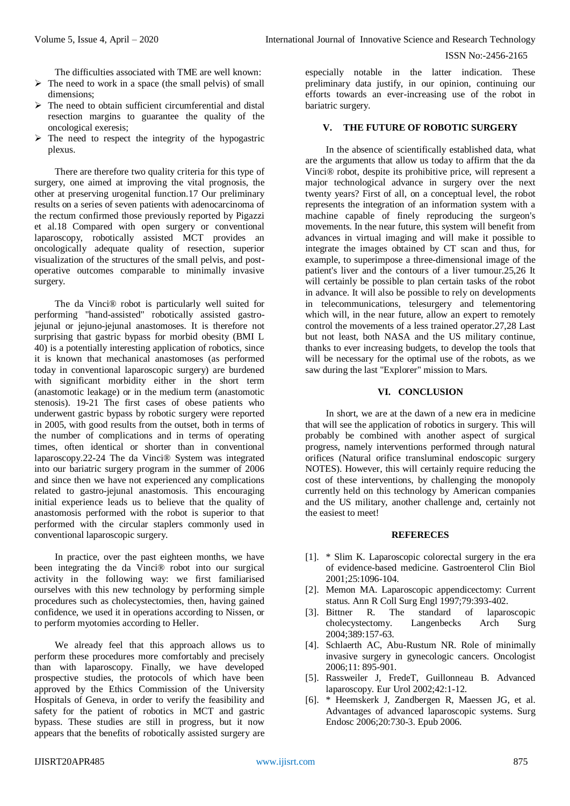#### ISSN No:-2456-2165

The difficulties associated with TME are well known:

- $\triangleright$  The need to work in a space (the small pelvis) of small dimensions;
- $\triangleright$  The need to obtain sufficient circumferential and distal resection margins to guarantee the quality of the oncological exeresis;
- $\triangleright$  The need to respect the integrity of the hypogastric plexus.

There are therefore two quality criteria for this type of surgery, one aimed at improving the vital prognosis, the other at preserving urogenital function.17 Our preliminary results on a series of seven patients with adenocarcinoma of the rectum confirmed those previously reported by Pigazzi et al.18 Compared with open surgery or conventional laparoscopy, robotically assisted MCT provides an oncologically adequate quality of resection, superior visualization of the structures of the small pelvis, and postoperative outcomes comparable to minimally invasive surgery.

The da Vinci® robot is particularly well suited for performing "hand-assisted" robotically assisted gastrojejunal or jejuno-jejunal anastomoses. It is therefore not surprising that gastric bypass for morbid obesity (BMI L 40) is a potentially interesting application of robotics, since it is known that mechanical anastomoses (as performed today in conventional laparoscopic surgery) are burdened with significant morbidity either in the short term (anastomotic leakage) or in the medium term (anastomotic stenosis). 19-21 The first cases of obese patients who underwent gastric bypass by robotic surgery were reported in 2005, with good results from the outset, both in terms of the number of complications and in terms of operating times, often identical or shorter than in conventional laparoscopy.22-24 The da Vinci® System was integrated into our bariatric surgery program in the summer of 2006 and since then we have not experienced any complications related to gastro-jejunal anastomosis. This encouraging initial experience leads us to believe that the quality of anastomosis performed with the robot is superior to that performed with the circular staplers commonly used in conventional laparoscopic surgery.

In practice, over the past eighteen months, we have been integrating the da Vinci® robot into our surgical activity in the following way: we first familiarised ourselves with this new technology by performing simple procedures such as cholecystectomies, then, having gained confidence, we used it in operations according to Nissen, or to perform myotomies according to Heller.

We already feel that this approach allows us to perform these procedures more comfortably and precisely than with laparoscopy. Finally, we have developed prospective studies, the protocols of which have been approved by the Ethics Commission of the University Hospitals of Geneva, in order to verify the feasibility and safety for the patient of robotics in MCT and gastric bypass. These studies are still in progress, but it now appears that the benefits of robotically assisted surgery are

especially notable in the latter indication. These preliminary data justify, in our opinion, continuing our efforts towards an ever-increasing use of the robot in bariatric surgery.

### **V. THE FUTURE OF ROBOTIC SURGERY**

In the absence of scientifically established data, what are the arguments that allow us today to affirm that the da Vinci® robot, despite its prohibitive price, will represent a major technological advance in surgery over the next twenty years? First of all, on a conceptual level, the robot represents the integration of an information system with a machine capable of finely reproducing the surgeon's movements. In the near future, this system will benefit from advances in virtual imaging and will make it possible to integrate the images obtained by CT scan and thus, for example, to superimpose a three-dimensional image of the patient's liver and the contours of a liver tumour.25,26 It will certainly be possible to plan certain tasks of the robot in advance. It will also be possible to rely on developments in telecommunications, telesurgery and telementoring which will, in the near future, allow an expert to remotely control the movements of a less trained operator.27,28 Last but not least, both NASA and the US military continue, thanks to ever increasing budgets, to develop the tools that will be necessary for the optimal use of the robots, as we saw during the last "Explorer" mission to Mars.

#### **VI. CONCLUSION**

In short, we are at the dawn of a new era in medicine that will see the application of robotics in surgery. This will probably be combined with another aspect of surgical progress, namely interventions performed through natural orifices (Natural orifice transluminal endoscopic surgery NOTES). However, this will certainly require reducing the cost of these interventions, by challenging the monopoly currently held on this technology by American companies and the US military, another challenge and, certainly not the easiest to meet!

#### **REFERECES**

- [1]. \* Slim K. Laparoscopic colorectal surgery in the era of evidence-based medicine. Gastroenterol Clin Biol 2001;25:1096-104.
- [2]. Memon MA. Laparoscopic appendicectomy: Current status. Ann R Coll Surg Engl 1997;79:393-402.<br>[3]. Bittner R. The standard of laparc
- standard of laparoscopic cholecystectomy. Langenbecks Arch Surg 2004;389:157-63.
- [4]. Schlaerth AC, Abu-Rustum NR, Role of minimally invasive surgery in gynecologic cancers. Oncologist 2006;11: 895-901.
- [5]. Rassweiler J, FredeT, Guillonneau B. Advanced laparoscopy. Eur Urol 2002;42:1-12.
- [6]. \* Heemskerk J, Zandbergen R, Maessen JG, et al. Advantages of advanced laparoscopic systems. Surg Endosc 2006;20:730-3. Epub 2006.